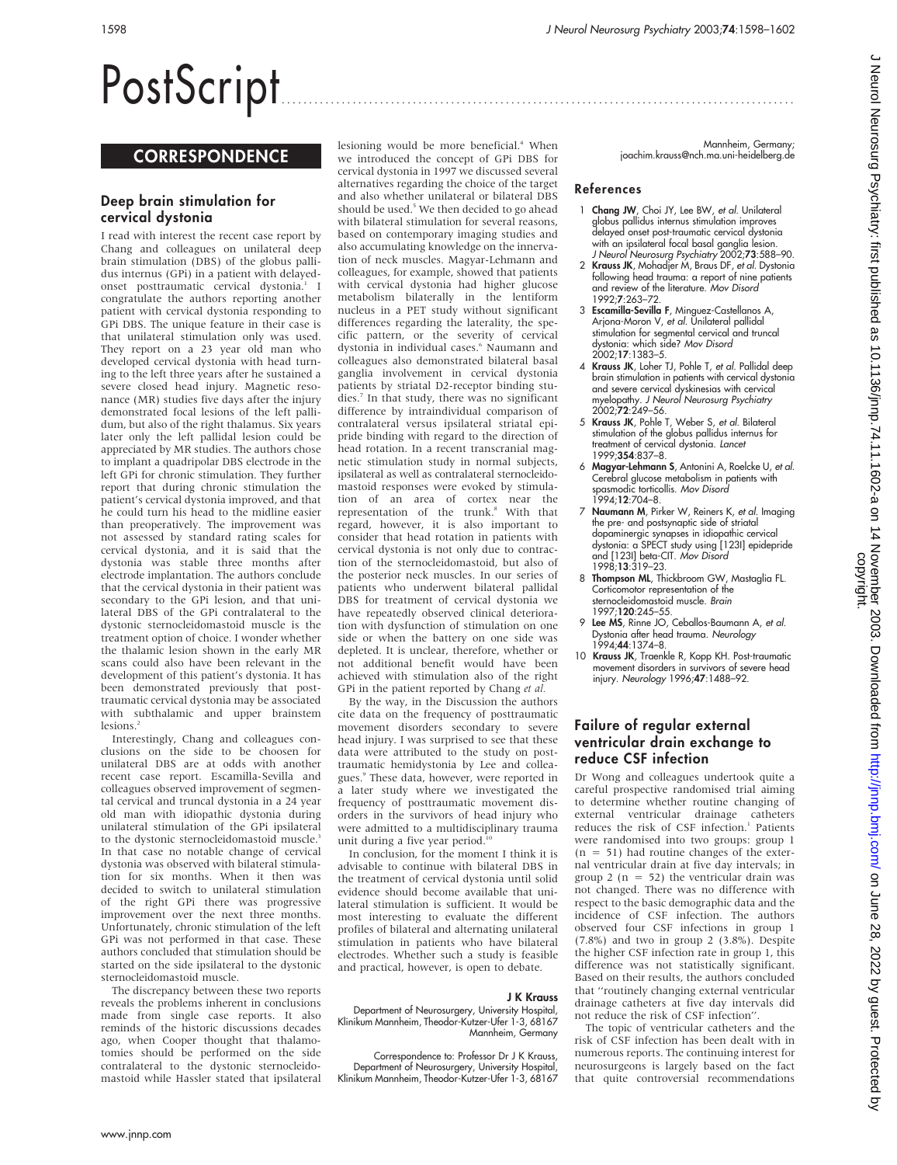# PostScript ..............................................................................................

# **CORRESPONDENCE**

# Deep brain stimulation for cervical dystonia

I read with interest the recent case report by Chang and colleagues on unilateral deep brain stimulation (DBS) of the globus pallidus internus (GPi) in a patient with delayedonset posttraumatic cervical dystonia.<sup>1</sup> I congratulate the authors reporting another patient with cervical dystonia responding to GPi DBS. The unique feature in their case is that unilateral stimulation only was used. They report on a 23 year old man who developed cervical dystonia with head turning to the left three years after he sustained a severe closed head injury. Magnetic resonance (MR) studies five days after the injury demonstrated focal lesions of the left pallidum, but also of the right thalamus. Six years later only the left pallidal lesion could be appreciated by MR studies. The authors chose to implant a quadripolar DBS electrode in the left GPi for chronic stimulation. They further report that during chronic stimulation the patient's cervical dystonia improved, and that he could turn his head to the midline easier than preoperatively. The improvement was not assessed by standard rating scales for cervical dystonia, and it is said that the dystonia was stable three months after electrode implantation. The authors conclude that the cervical dystonia in their patient was secondary to the GPi lesion, and that unilateral DBS of the GPi contralateral to the dystonic sternocleidomastoid muscle is the treatment option of choice. I wonder whether the thalamic lesion shown in the early MR scans could also have been relevant in the development of this patient's dystonia. It has been demonstrated previously that posttraumatic cervical dystonia may be associated with subthalamic and upper brainstem lesions.<sup>2</sup>

Interestingly, Chang and colleagues conclusions on the side to be choosen for unilateral DBS are at odds with another recent case report. Escamilla-Sevilla and colleagues observed improvement of segmental cervical and truncal dystonia in a 24 year old man with idiopathic dystonia during unilateral stimulation of the GPi ipsilateral to the dystonic sternocleidomastoid muscle.<sup>3</sup> In that case no notable change of cervical dystonia was observed with bilateral stimulation for six months. When it then was decided to switch to unilateral stimulation of the right GPi there was progressive improvement over the next three months. Unfortunately, chronic stimulation of the left GPi was not performed in that case. These authors concluded that stimulation should be started on the side ipsilateral to the dystonic sternocleidomastoid muscle.

The discrepancy between these two reports reveals the problems inherent in conclusions made from single case reports. It also reminds of the historic discussions decades ago, when Cooper thought that thalamotomies should be performed on the side contralateral to the dystonic sternocleidomastoid while Hassler stated that ipsilateral lesioning would be more beneficial.<sup>4</sup> When we introduced the concept of GPi DBS for cervical dystonia in 1997 we discussed several alternatives regarding the choice of the target and also whether unilateral or bilateral DBS should be used.<sup>5</sup> We then decided to go ahead with bilateral stimulation for several reasons, based on contemporary imaging studies and also accumulating knowledge on the innervation of neck muscles. Magyar-Lehmann and colleagues, for example, showed that patients with cervical dystonia had higher glucose metabolism bilaterally in the lentiform nucleus in a PET study without significant differences regarding the laterality, the specific pattern, or the severity of cervical dystonia in individual cases.<sup>6</sup> Naumann and colleagues also demonstrated bilateral basal ganglia involvement in cervical dystonia patients by striatal D2-receptor binding studies.<sup>7</sup> In that study, there was no significant difference by intraindividual comparison of contralateral versus ipsilateral striatal epipride binding with regard to the direction of head rotation. In a recent transcranial magnetic stimulation study in normal subjects, ipsilateral as well as contralateral sternocleidomastoid responses were evoked by stimulation of an area of cortex near the<br>representation of the trunk.<sup>8</sup> With that regard, however, it is also important to consider that head rotation in patients with cervical dystonia is not only due to contraction of the sternocleidomastoid, but also of the posterior neck muscles. In our series of patients who underwent bilateral pallidal DBS for treatment of cervical dystonia we have repeatedly observed clinical deterioration with dysfunction of stimulation on one side or when the battery on one side was depleted. It is unclear, therefore, whether or not additional benefit would have been achieved with stimulation also of the right GPi in the patient reported by Chang et al.

By the way, in the Discussion the authors cite data on the frequency of posttraumatic movement disorders secondary to severe head injury. I was surprised to see that these data were attributed to the study on posttraumatic hemidystonia by Lee and colleagues.<sup>9</sup> These data, however, were reported in a later study where we investigated the frequency of posttraumatic movement disorders in the survivors of head injury who were admitted to a multidisciplinary trauma unit during a five year period.<sup>1</sup>

In conclusion, for the moment I think it is advisable to continue with bilateral DBS in the treatment of cervical dystonia until solid evidence should become available that unilateral stimulation is sufficient. It would be most interesting to evaluate the different profiles of bilateral and alternating unilateral stimulation in patients who have bilateral electrodes. Whether such a study is feasible and practical, however, is open to debate.

#### J K Krauss

Department of Neurosurgery, University Hospital, Klinikum Mannheim, Theodor-Kutzer-Ufer 1-3, 68167 Mannheim, Germany

Correspondence to: Professor Dr J K Krauss, Department of Neurosurgery, University Hospital, Klinikum Mannheim, Theodor-Kutzer-Ufer 1-3, 68167

Mannheim, Germany; joachim.krauss@nch.ma.uni-heidelberg.de

## References

- 1 Chang JW, Choi JY, Lee BW, et al. Unilateral globus pallidus internus stimulation improves delayed onset post-traumatic cervical dystonia with an ipsilateral focal basal ganglia lesion. J Neurol Neurosurg Psychiatry 2002;73:588-90.
- 2 Krauss JK, Mohadjer M, Braus DF, et al. Dystonia following head trauma: a report of nine patients and review of the literature. Mov Disord 1992;7:263–72.
- 3 Escamilla-Sevilla F, Minguez-Castellanos A, Arjona-Moron V, et al. Unilateral pallidal stimulation for segmental cervical and truncal dystonia: which side? Mov Disord 2002;17:1383–5.
- 4 Krauss JK, Loher TJ, Pohle T, et al. Pallidal deep brain stimulation in patients with cervical dystonia and severe cervical dyskinesias with cervical myelopathy. J Neurol Neurosurg Psychiatry 2002;72:249–56.
- 5 Krauss JK, Pohle T, Weber S, et al. Bilateral stimulation of the globus pallidus internus for treatment of cervical dystonia. Lancet 1999;354:837–8.
- 6 Magyar-Lehmann S, Antonini A, Roelcke U, et al. Cerebral glucose metabolism in patients with spasmodic torticollis. Mov Disord 1994;12:704–8.
- 7 Naumann M, Pirker W, Reiners K, et al. Imaging the pre- and postsynaptic side of striatal dopaminergic synapses in idiopathic cervical dystonia: a SPECT study using [123I] epidepride and [123I] beta-CIT. Mov Disord 1998;13:319–23.
- 8 Thompson ML, Thickbroom GW, Mastaglia FL. Corticomotor representation of the sternocleidomastoid muscle. Brain 1997;120:245–55.
- 9 Lee MS, Rinne JO, Ceballos-Baumann A, et al. Dystonia after head trauma. Neurology 1994;44:1374–8.
- 10 Krauss JK, Traenkle R, Kopp KH. Post-traumatic movement disorders in survivors of severe head injury. Neurology 1996;47:1488–92.

# Failure of regular external ventricular drain exchange to reduce CSF infection

Dr Wong and colleagues undertook quite a careful prospective randomised trial aiming to determine whether routine changing of external ventricular drainage catheters reduces the risk of CSF infection.<sup>1</sup> Patients were randomised into two groups: group 1  $(n = 51)$  had routine changes of the external ventricular drain at five day intervals; in group 2 ( $n = 52$ ) the ventricular drain was not changed. There was no difference with respect to the basic demographic data and the incidence of CSF infection. The authors observed four CSF infections in group 1 (7.8%) and two in group 2 (3.8%). Despite the higher CSF infection rate in group 1, this difference was not statistically significant. Based on their results, the authors concluded that ''routinely changing external ventricular drainage catheters at five day intervals did not reduce the risk of CSF infection''.

The topic of ventricular catheters and the risk of CSF infection has been dealt with in numerous reports. The continuing interest for neurosurgeons is largely based on the fact that quite controversial recommendations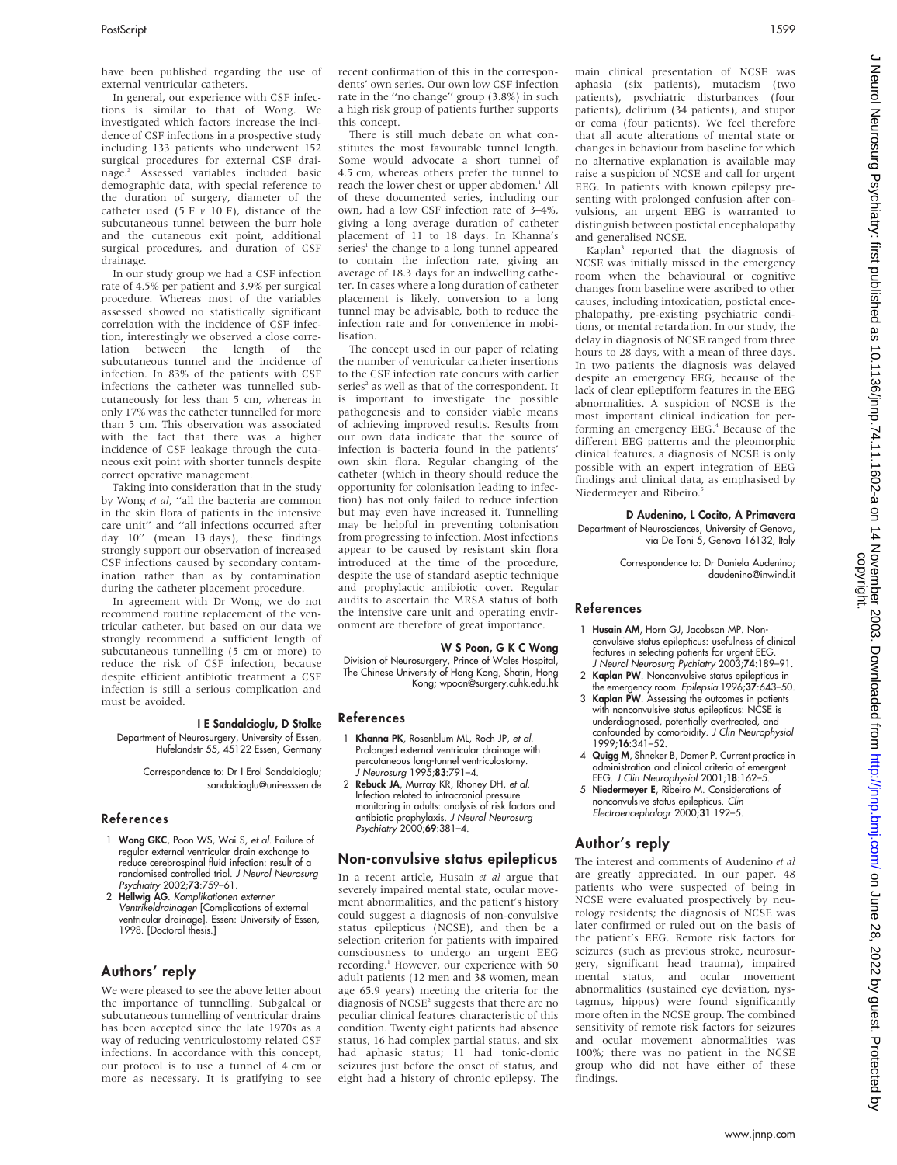In general, our experience with CSF infections is similar to that of Wong. We investigated which factors increase the incidence of CSF infections in a prospective study including 133 patients who underwent 152 surgical procedures for external CSF drainage.2 Assessed variables included basic demographic data, with special reference to the duration of surgery, diameter of the catheter used (5 F  $v$  10 F), distance of the subcutaneous tunnel between the burr hole and the cutaneous exit point, additional surgical procedures, and duration of CSF drainage.

In our study group we had a CSF infection rate of 4.5% per patient and 3.9% per surgical procedure. Whereas most of the variables assessed showed no statistically significant correlation with the incidence of CSF infection, interestingly we observed a close correlation between the length of the subcutaneous tunnel and the incidence of infection. In 83% of the patients with CSF infections the catheter was tunnelled subcutaneously for less than 5 cm, whereas in only 17% was the catheter tunnelled for more than 5 cm. This observation was associated with the fact that there was a higher incidence of CSF leakage through the cutaneous exit point with shorter tunnels despite correct operative management.

Taking into consideration that in the study by Wong et al, ''all the bacteria are common in the skin flora of patients in the intensive care unit'' and ''all infections occurred after day 10'' (mean 13 days), these findings strongly support our observation of increased CSF infections caused by secondary contamination rather than as by contamination during the catheter placement procedure.

In agreement with Dr Wong, we do not recommend routine replacement of the ventricular catheter, but based on our data we strongly recommend a sufficient length of subcutaneous tunnelling (5 cm or more) to reduce the risk of CSF infection, because despite efficient antibiotic treatment a CSF infection is still a serious complication and must be avoided.

I E Sandalcioglu, D Stolke Department of Neurosurgery, University of Essen, Hufelandstr 55, 45122 Essen, Germany

> Correspondence to: Dr I Erol Sandalcioglu; sandalcioglu@uni-esssen.de

## References

- 1 Wong GKC, Poon WS, Wai S, et al. Failure of regular external ventricular drain exchange to reduce cerebrospinal fluid infection: result of a randomised controlled trial. J Neurol Neurosurg Psychiatry 2002;73:759-61.
- 2 Hellwig AG. Komplikationen externer Ventrikeldrainagen [Complications of external ventricular drainage]. Essen: University of Essen, 1998. [Doctoral thesis.]

## Authors' reply

We were pleased to see the above letter about the importance of tunnelling. Subgaleal or subcutaneous tunnelling of ventricular drains has been accepted since the late 1970s as a way of reducing ventriculostomy related CSF infections. In accordance with this concept, our protocol is to use a tunnel of 4 cm or more as necessary. It is gratifying to see recent confirmation of this in the correspondents' own series. Our own low CSF infection rate in the ''no change'' group (3.8%) in such a high risk group of patients further supports this concept.

There is still much debate on what constitutes the most favourable tunnel length. Some would advocate a short tunnel of 4.5 cm, whereas others prefer the tunnel to reach the lower chest or upper abdomen.<sup>1</sup> All of these documented series, including our own, had a low CSF infection rate of 3–4%, giving a long average duration of catheter placement of 11 to 18 days. In Khanna's series<sup>1</sup> the change to a long tunnel appeared to contain the infection rate, giving an average of 18.3 days for an indwelling catheter. In cases where a long duration of catheter placement is likely, conversion to a long tunnel may be advisable, both to reduce the infection rate and for convenience in mobilisation.

The concept used in our paper of relating the number of ventricular catheter insertions to the CSF infection rate concurs with earlier series<sup>2</sup> as well as that of the correspondent. It is important to investigate the possible pathogenesis and to consider viable means of achieving improved results. Results from our own data indicate that the source of infection is bacteria found in the patients' own skin flora. Regular changing of the catheter (which in theory should reduce the opportunity for colonisation leading to infection) has not only failed to reduce infection but may even have increased it. Tunnelling may be helpful in preventing colonisation from progressing to infection. Most infections appear to be caused by resistant skin flora introduced at the time of the procedure, despite the use of standard aseptic technique and prophylactic antibiotic cover. Regular audits to ascertain the MRSA status of both the intensive care unit and operating environment are therefore of great importance.

#### W S Poon, G K C Wong

Division of Neurosurgery, Prince of Wales Hospital, The Chinese University of Hong Kong, Shatin, Hong Kong; wpoon@surgery.cuhk.edu.hk

## References

- 1 Khanna PK, Rosenblum ML, Roch JP, et al. Prolonged external ventricular drainage with percutaneous long-tunnel ventriculostomy. J Neurosurg 1995;83:791–4.
- 2 Rebuck JA, Murray KR, Rhoney DH, et al. Infection related to intracranial pressure monitoring in adults: analysis of risk factors and antibiotic prophylaxis. J Neurol Neurosurg Psychiatry 2000;69:381–4.

## Non-convulsive status epilepticus

In a recent article, Husain et al argue that severely impaired mental state, ocular movement abnormalities, and the patient's history could suggest a diagnosis of non-convulsive status epilepticus (NCSE), and then be a selection criterion for patients with impaired consciousness to undergo an urgent EEG recording.<sup>1</sup> However, our experience with 50 adult patients (12 men and 38 women, mean age 65.9 years) meeting the criteria for the diagnosis of NCSE<sup>2</sup> suggests that there are no peculiar clinical features characteristic of this condition. Twenty eight patients had absence status, 16 had complex partial status, and six had aphasic status; 11 had tonic-clonic seizures just before the onset of status, and eight had a history of chronic epilepsy. The

main clinical presentation of NCSE was aphasia (six patients), mutacism (two patients), psychiatric disturbances (four patients), delirium (34 patients), and stupor or coma (four patients). We feel therefore that all acute alterations of mental state or changes in behaviour from baseline for which no alternative explanation is available may raise a suspicion of NCSE and call for urgent EEG. In patients with known epilepsy presenting with prolonged confusion after convulsions, an urgent EEG is warranted to distinguish between postictal encephalopathy and generalised NCSE.

Kaplan<sup>3</sup> reported that the diagnosis of NCSE was initially missed in the emergency room when the behavioural or cognitive changes from baseline were ascribed to other causes, including intoxication, postictal encephalopathy, pre-existing psychiatric conditions, or mental retardation. In our study, the delay in diagnosis of NCSE ranged from three hours to 28 days, with a mean of three days. In two patients the diagnosis was delayed despite an emergency EEG, because of the lack of clear epileptiform features in the EEG abnormalities. A suspicion of NCSE is the most important clinical indication for performing an emergency EEG.4 Because of the different EEG patterns and the pleomorphic clinical features, a diagnosis of NCSE is only possible with an expert integration of EEG findings and clinical data, as emphasised by Niedermeyer and Ribeiro.

#### D Audenino, L Cocito, A Primavera Department of Neurosciences, University of Genova,

via De Toni 5, Genova 16132, Italy

Correspondence to: Dr Daniela Audenino; daudenino@inwind.it

#### References

- 1 Husain AM, Horn GJ, Jacobson MP, Nonconvulsive status epilepticus: usefulness of clinical features in selecting patients for urgent EEG. J Neurol Neurosurg Pychiatry 2003;74:189-91.
- 2 Kaplan PW. Nonconvulsive status epilepticus in the emergency room. *Epilepsia* 1996;**37**:643–50.
- 3 Kaplan PW. Assessing the outcomes in patients with nonconvulsive status epilepticus: NCSE is underdiagnosed, potentially overtreated, and confounded by comorbidity. J Clin Neurophysiol  $1999 \cdot 16.341 - 52$
- 4 Quigg M, Shneker B, Domer P. Current practice in administration and clinical criteria of emergent EEG. J Clin Neurophysiol 2001;18:162–5.
- 5 Niedermeyer E, Ribeiro M. Considerations of nonconvulsive status epilepticus. Clin Electroencephalogr 2000;31:192–5.

# Author's reply

The interest and comments of Audenino et al are greatly appreciated. In our paper, 48 patients who were suspected of being in NCSE were evaluated prospectively by neurology residents; the diagnosis of NCSE was later confirmed or ruled out on the basis of the patient's EEG. Remote risk factors for seizures (such as previous stroke, neurosurgery, significant head trauma), impaired mental status, and ocular movement abnormalities (sustained eye deviation, nystagmus, hippus) were found significantly more often in the NCSE group. The combined sensitivity of remote risk factors for seizures and ocular movement abnormalities was 100%; there was no patient in the NCSE group who did not have either of these findings.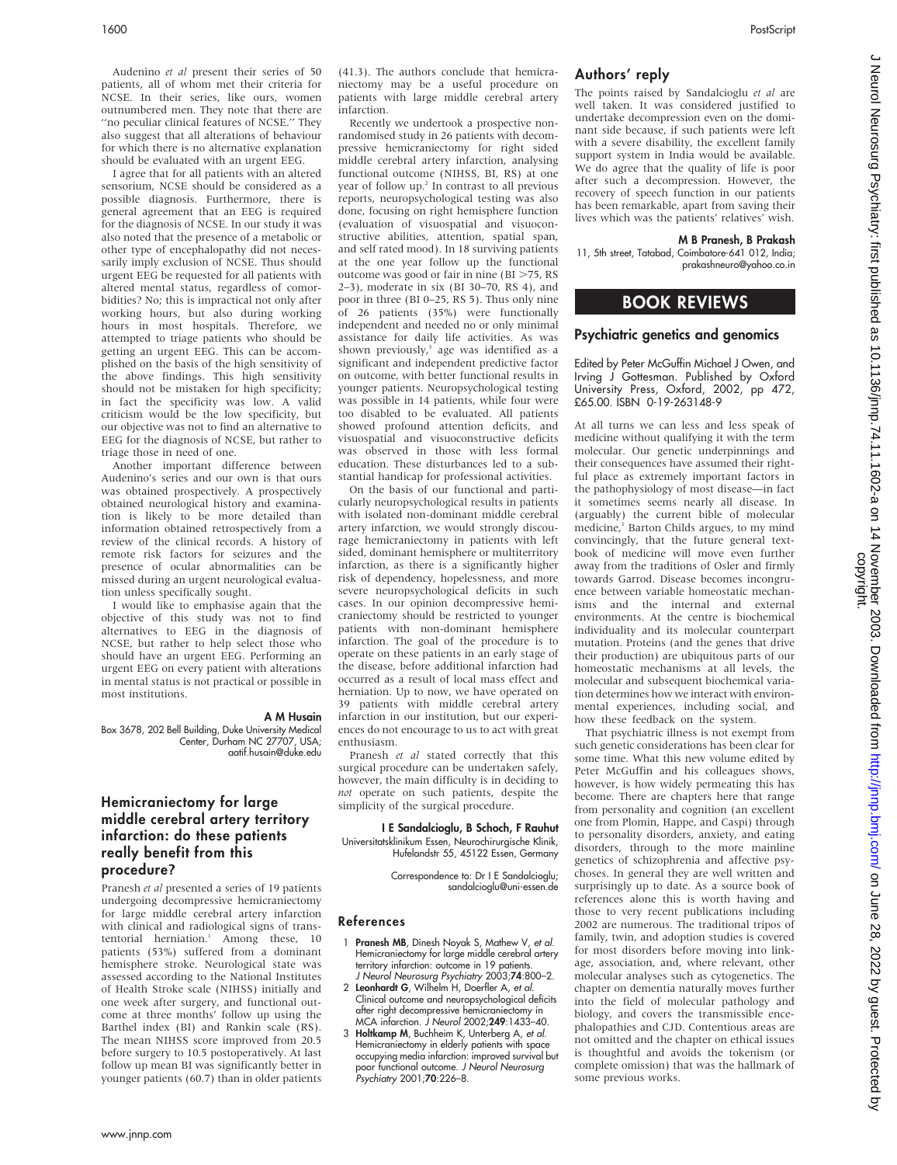Audenino et al present their series of 50 patients, all of whom met their criteria for NCSE. In their series, like ours, women outnumbered men. They note that there are ''no peculiar clinical features of NCSE.'' They also suggest that all alterations of behaviour for which there is no alternative explanation should be evaluated with an urgent EEG.

I agree that for all patients with an altered sensorium, NCSE should be considered as a possible diagnosis. Furthermore, there is general agreement that an EEG is required for the diagnosis of NCSE. In our study it was also noted that the presence of a metabolic or other type of encephalopathy did not necessarily imply exclusion of NCSE. Thus should urgent EEG be requested for all patients with altered mental status, regardless of comorbidities? No; this is impractical not only after working hours, but also during working hours in most hospitals. Therefore, we attempted to triage patients who should be getting an urgent EEG. This can be accomplished on the basis of the high sensitivity of the above findings. This high sensitivity should not be mistaken for high specificity; in fact the specificity was low. A valid criticism would be the low specificity, but our objective was not to find an alternative to EEG for the diagnosis of NCSE, but rather to triage those in need of one.

Another important difference between Audenino's series and our own is that ours was obtained prospectively. A prospectively obtained neurological history and examination is likely to be more detailed than information obtained retrospectively from a review of the clinical records. A history of remote risk factors for seizures and the presence of ocular abnormalities can be missed during an urgent neurological evaluation unless specifically sought.

I would like to emphasise again that the objective of this study was not to find alternatives to EEG in the diagnosis of NCSE, but rather to help select those who should have an urgent EEG. Performing an urgent EEG on every patient with alterations in mental status is not practical or possible in most institutions.

#### A M Husain

Box 3678, 202 Bell Building, Duke University Medical Center, Durham NC 27707, USA; aatif.husain@duke.edu

# Hemicraniectomy for large middle cerebral artery territory infarction: do these patients really benefit from this procedure?

Pranesh et al presented a series of 19 patients undergoing decompressive hemicraniectomy for large middle cerebral artery infarction with clinical and radiological signs of transtentorial herniation.<sup>1</sup> Among these, 10 patients (53%) suffered from a dominant hemisphere stroke. Neurological state was assessed according to the National Institutes of Health Stroke scale (NIHSS) initially and one week after surgery, and functional outcome at three months' follow up using the Barthel index (BI) and Rankin scale (RS). The mean NIHSS score improved from 20.5 before surgery to 10.5 postoperatively. At last follow up mean BI was significantly better in younger patients (60.7) than in older patients (41.3). The authors conclude that hemicraniectomy may be a useful procedure on patients with large middle cerebral artery infarction.

Recently we undertook a prospective nonrandomised study in 26 patients with decompressive hemicraniectomy for right sided middle cerebral artery infarction, analysing functional outcome (NIHSS, BI, RS) at one year of follow up.<sup>2</sup> In contrast to all previous reports, neuropsychological testing was also done, focusing on right hemisphere function (evaluation of visuospatial and visuoconstructive abilities, attention, spatial span, and self rated mood). In 18 surviving patients at the one year follow up the functional outcome was good or fair in nine (BI  $>$  75, RS 2–3), moderate in six (BI 30–70, RS 4), and poor in three (BI 0–25, RS 5). Thus only nine of 26 patients (35%) were functionally independent and needed no or only minimal assistance for daily life activities. As was shown previously,<sup>3</sup> age was identified as a significant and independent predictive factor on outcome, with better functional results in younger patients. Neuropsychological testing was possible in 14 patients, while four were too disabled to be evaluated. All patients showed profound attention deficits, and visuospatial and visuoconstructive deficits was observed in those with less formal education. These disturbances led to a substantial handicap for professional activities.

On the basis of our functional and particularly neuropsychological results in patients with isolated non-dominant middle cerebral artery infarction, we would strongly discourage hemicraniectomy in patients with left sided, dominant hemisphere or multiterritory infarction, as there is a significantly higher risk of dependency, hopelessness, and more severe neuropsychological deficits in such cases. In our opinion decompressive hemicraniectomy should be restricted to younger patients with non-dominant hemisphere infarction. The goal of the procedure is to operate on these patients in an early stage of the disease, before additional infarction had occurred as a result of local mass effect and herniation. Up to now, we have operated on 39 patients with middle cerebral artery infarction in our institution, but our experiences do not encourage to us to act with great enthusiasm.

Pranesh et al stated correctly that this surgical procedure can be undertaken safely, however, the main difficulty is in deciding to not operate on such patients, despite the simplicity of the surgical procedure.

I E Sandalcioglu, B Schoch, F Rauhut Universitatsklinikum Essen, Neurochirurgische Klinik, Hufelandstr 55, 45122 Essen, Germany

> Correspondence to: Dr I E Sandalcioglu; sandalcioglu@uni-essen.de

## References

- 1 Pranesh MB, Dinesh Noyak S, Mathew V, et al. Hemicraniectomy for large middle cerebral artery territory infarction: outcome in 19 patients. J Neurol Neurosurg Psychiatry 2003;74:800–2.
- 2 Leonhardt G, Wilhelm H, Doerfler A, et al. Clinical outcome and neuropsychological deficits after right decompressive hemicraniectomy in MCA infarction. J Neurol 2002;249:1433–40.
- 3 Holtkamp M, Buchheim K, Unterberg A, et al. Hemicraniectomy in elderly patients with space occupying media infarction: improved survival but poor functional outcome. J Neurol Neurosurg Psychiatry 2001;70:226–8.

#### Authors' reply

The points raised by Sandalcioglu et al are well taken. It was considered justified to undertake decompression even on the dominant side because, if such patients were left with a severe disability, the excellent family support system in India would be available. We do agree that the quality of life is poor after such a decompression. However, the recovery of speech function in our patients has been remarkable, apart from saving their lives which was the patients' relatives' wish.

#### M B Pranesh, B Prakash

11, 5th street, Tatabad, Coimbatore-641 012, India; prakashneuro@yahoo.co.in

# BOOK REVIEWS

## Psychiatric genetics and genomics

Edited by Peter McGuffin Michael J Owen, and Irving J Gottesman. Published by Oxford University Press, Oxford, 2002, pp 472, £65.00. ISBN 0-19-263148-9

At all turns we can less and less speak of medicine without qualifying it with the term molecular. Our genetic underpinnings and their consequences have assumed their rightful place as extremely important factors in the pathophysiology of most disease—in fact it sometimes seems nearly all disease. In (arguably) the current bible of molecular medicine,<sup>1</sup> Barton Childs argues, to my mind convincingly, that the future general textbook of medicine will move even further away from the traditions of Osler and firmly towards Garrod. Disease becomes incongruence between variable homeostatic mechanisms and the internal and external environments. At the centre is biochemical individuality and its molecular counterpart mutation. Proteins (and the genes that drive their production) are ubiquitous parts of our homeostatic mechanisms at all levels, the molecular and subsequent biochemical variation determines how we interact with environmental experiences, including social, and how these feedback on the system.

That psychiatric illness is not exempt from such genetic considerations has been clear for some time. What this new volume edited by Peter McGuffin and his colleagues shows, however, is how widely permeating this has become. There are chapters here that range from personality and cognition (an excellent one from Plomin, Happe, and Caspi) through to personality disorders, anxiety, and eating disorders, through to the more mainline genetics of schizophrenia and affective psychoses. In general they are well written and surprisingly up to date. As a source book of references alone this is worth having and those to very recent publications including 2002 are numerous. The traditional tripos of family, twin, and adoption studies is covered for most disorders before moving into linkage, association, and, where relevant, other molecular analyses such as cytogenetics. The chapter on dementia naturally moves further into the field of molecular pathology and biology, and covers the transmissible encephalopathies and CJD. Contentious areas are not omitted and the chapter on ethical issues is thoughtful and avoids the tokenism (or complete omission) that was the hallmark of some previous works.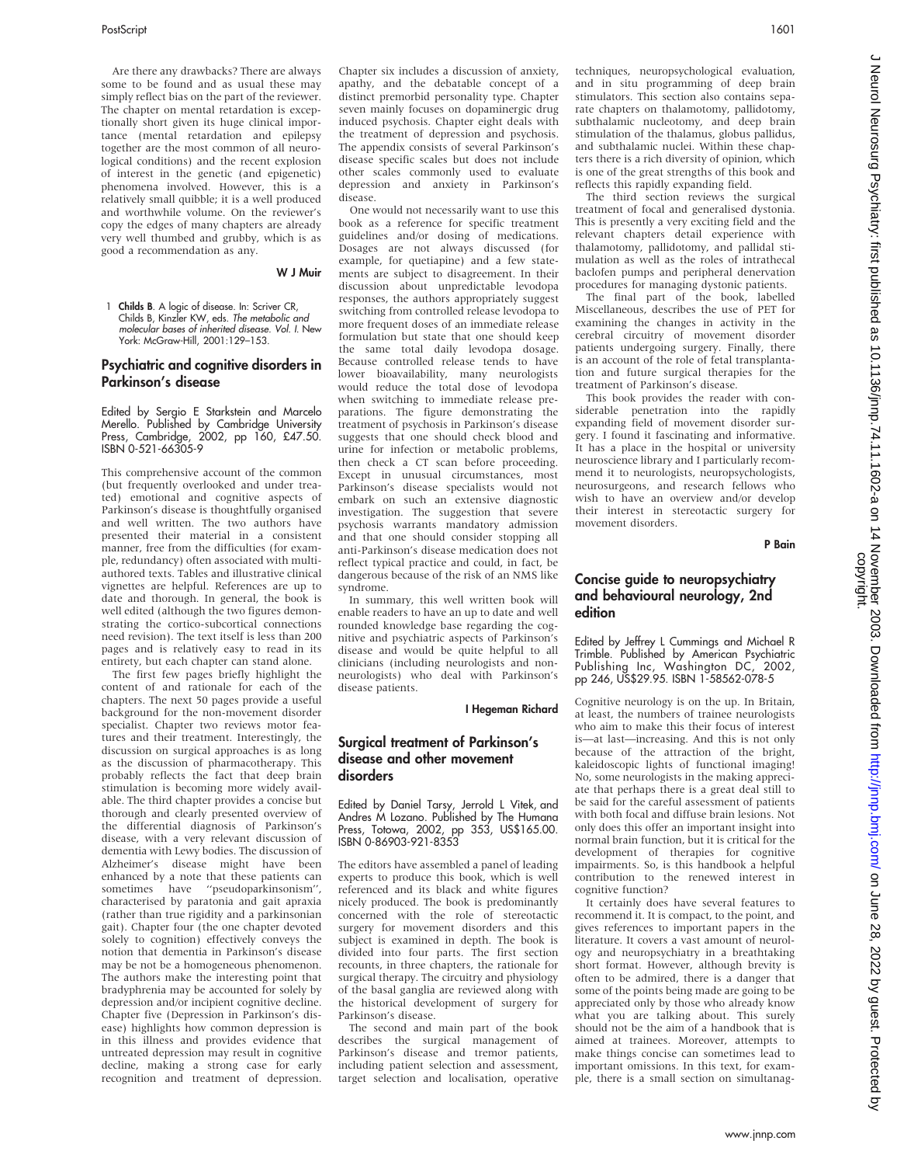Are there any drawbacks? There are always some to be found and as usual these may simply reflect bias on the part of the reviewer. The chapter on mental retardation is exceptionally short given its huge clinical importance (mental retardation and epilepsy together are the most common of all neurological conditions) and the recent explosion of interest in the genetic (and epigenetic) phenomena involved. However, this is a relatively small quibble; it is a well produced and worthwhile volume. On the reviewer's copy the edges of many chapters are already very well thumbed and grubby, which is as good a recommendation as any.

W J Muir

1 **Childs B**. A logic of disease. In: Scriver CR, Childs B, Kinzler KW, eds. The metabolic and molecular bases of inherited disease. Vol. I. New York: McGraw-Hill, 2001:129–153.

## Psychiatric and cognitive disorders in Parkinson's disease

Edited by Sergio E Starkstein and Marcelo Merello. Published by Cambridge University Press, Cambridge, 2002, pp 160, £47.50. ISBN 0-521-66305-9

This comprehensive account of the common (but frequently overlooked and under treated) emotional and cognitive aspects of Parkinson's disease is thoughtfully organised and well written. The two authors have presented their material in a consistent manner, free from the difficulties (for example, redundancy) often associated with multiauthored texts. Tables and illustrative clinical vignettes are helpful. References are up to date and thorough. In general, the book is well edited (although the two figures demonstrating the cortico-subcortical connections need revision). The text itself is less than 200 pages and is relatively easy to read in its entirety, but each chapter can stand alone.

The first few pages briefly highlight the content of and rationale for each of the chapters. The next 50 pages provide a useful background for the non-movement disorder specialist. Chapter two reviews motor features and their treatment. Interestingly, the discussion on surgical approaches is as long as the discussion of pharmacotherapy. This probably reflects the fact that deep brain stimulation is becoming more widely available. The third chapter provides a concise but thorough and clearly presented overview of the differential diagnosis of Parkinson's disease, with a very relevant discussion of dementia with Lewy bodies. The discussion of Alzheimer's disease might have been enhanced by a note that these patients can sometimes have "pseudoparkinsonism", characterised by paratonia and gait apraxia (rather than true rigidity and a parkinsonian gait). Chapter four (the one chapter devoted solely to cognition) effectively conveys the notion that dementia in Parkinson's disease may be not be a homogeneous phenomenon. The authors make the interesting point that bradyphrenia may be accounted for solely by depression and/or incipient cognitive decline. Chapter five (Depression in Parkinson's disease) highlights how common depression is in this illness and provides evidence that untreated depression may result in cognitive decline, making a strong case for early recognition and treatment of depression. Chapter six includes a discussion of anxiety, apathy, and the debatable concept of a distinct premorbid personality type. Chapter seven mainly focuses on dopaminergic drug induced psychosis. Chapter eight deals with the treatment of depression and psychosis. The appendix consists of several Parkinson's disease specific scales but does not include other scales commonly used to evaluate depression and anxiety in Parkinson's disease.

Because controlled release tends to have lower bioavailability, many neurologists would reduce the total dose of levodopa when switching to immediate release preparations. The figure demonstrating the treatment of psychosis in Parkinson's disease suggests that one should check blood and urine for infection or metabolic problems, then check a CT scan before proceeding. Except in unusual circumstances, most Parkinson's disease specialists would not embark on such an extensive diagnostic investigation. The suggestion that severe psychosis warrants mandatory admission and that one should consider stopping all anti-Parkinson's disease medication does not reflect typical practice and could, in fact, be dangerous because of the risk of an NMS like syndrome. One would not necessarily want to use this book as a reference for specific treatment guidelines and/or dosing of medications. Dosages are not always discussed (for example, for quetiapine) and a few statements are subject to disagreement. In their discussion about unpredictable levodopa responses, the authors appropriately suggest switching from controlled release levodopa to more frequent doses of an immediate release formulation but state that one should keep the same total daily levodopa dosage.

In summary, this well written book will enable readers to have an up to date and well rounded knowledge base regarding the cognitive and psychiatric aspects of Parkinson's disease and would be quite helpful to all clinicians (including neurologists and nonneurologists) who deal with Parkinson's disease patients.

#### I Hegeman Richard

## Surgical treatment of Parkinson's disease and other movement disorders

Edited by Daniel Tarsy, Jerrold L Vitek, and Andres M Lozano. Published by The Humana Press, Totowa, 2002, pp 353, US\$165.00. ISBN 0-86903-921-8353

The editors have assembled a panel of leading experts to produce this book, which is well referenced and its black and white figures nicely produced. The book is predominantly concerned with the role of stereotactic surgery for movement disorders and this subject is examined in depth. The book is divided into four parts. The first section recounts, in three chapters, the rationale for surgical therapy. The circuitry and physiology of the basal ganglia are reviewed along with the historical development of surgery for Parkinson's disease.

The second and main part of the book describes the surgical management of Parkinson's disease and tremor patients, including patient selection and assessment, target selection and localisation, operative

techniques, neuropsychological evaluation, and in situ programming of deep brain stimulators. This section also contains separate chapters on thalamotomy, pallidotomy, subthalamic nucleotomy, and deep brain stimulation of the thalamus, globus pallidus, and subthalamic nuclei. Within these chapters there is a rich diversity of opinion, which is one of the great strengths of this book and reflects this rapidly expanding field.

The third section reviews the surgical treatment of focal and generalised dystonia. This is presently a very exciting field and the relevant chapters detail experience with thalamotomy, pallidotomy, and pallidal stimulation as well as the roles of intrathecal baclofen pumps and peripheral denervation procedures for managing dystonic patients.

The final part of the book, labelled Miscellaneous, describes the use of PET for examining the changes in activity in the cerebral circuitry of movement disorder patients undergoing surgery. Finally, there is an account of the role of fetal transplantation and future surgical therapies for the treatment of Parkinson's disease.

This book provides the reader with considerable penetration into the rapidly expanding field of movement disorder surgery. I found it fascinating and informative. It has a place in the hospital or university neuroscience library and I particularly recommend it to neurologists, neuropsychologists, neurosurgeons, and research fellows who wish to have an overview and/or develop their interest in stereotactic surgery for movement disorders.

P Bain

# Concise guide to neuropsychiatry and behavioural neurology, 2nd edition

Edited by Jeffrey L Cummings and Michael R Trimble. Published by American Psychiatric Publishing Inc, Washington DC, 2002, pp 246, US\$29.95. ISBN 1-58562-078-5

Cognitive neurology is on the up. In Britain, at least, the numbers of trainee neurologists who aim to make this their focus of interest is—at last—increasing. And this is not only because of the attraction of the bright, kaleidoscopic lights of functional imaging! No, some neurologists in the making appreciate that perhaps there is a great deal still to be said for the careful assessment of patients with both focal and diffuse brain lesions. Not only does this offer an important insight into normal brain function, but it is critical for the development of therapies for cognitive impairments. So, is this handbook a helpful contribution to the renewed interest in cognitive function?

It certainly does have several features to recommend it. It is compact, to the point, and gives references to important papers in the literature. It covers a vast amount of neurology and neuropsychiatry in a breathtaking short format. However, although brevity is often to be admired, there is a danger that some of the points being made are going to be appreciated only by those who already know what you are talking about. This surely should not be the aim of a handbook that is aimed at trainees. Moreover, attempts to make things concise can sometimes lead to important omissions. In this text, for example, there is a small section on simultanag